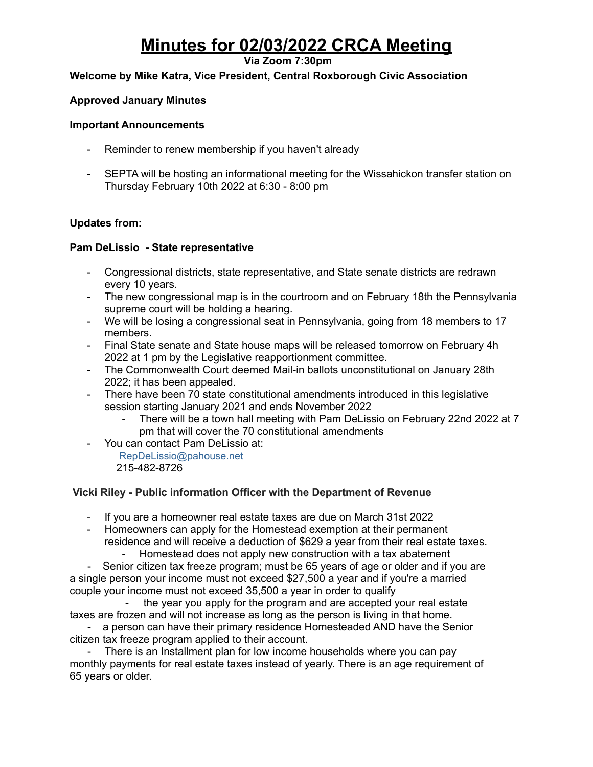# **Minutes for 02/03/2022 CRCA Meeting**

## **Via Zoom 7:30pm**

## **Welcome by Mike Katra, Vice President, Central Roxborough Civic Association**

## **Approved January Minutes**

#### **Important Announcements**

- Reminder to renew membership if you haven't already
- SEPTA will be hosting an informational meeting for the Wissahickon transfer station on Thursday February 10th 2022 at 6:30 - 8:00 pm

## **Updates from:**

#### **Pam DeLissio - State representative**

- Congressional districts, state representative, and State senate districts are redrawn every 10 years.
- The new congressional map is in the courtroom and on February 18th the Pennsylvania supreme court will be holding a hearing.
- We will be losing a congressional seat in Pennsylvania, going from 18 members to 17 members.
- Final State senate and State house maps will be released tomorrow on February 4h 2022 at 1 pm by the Legislative reapportionment committee.
- The Commonwealth Court deemed Mail-in ballots unconstitutional on January 28th 2022; it has been appealed.
- There have been 70 state constitutional amendments introduced in this legislative session starting January 2021 and ends November 2022
	- There will be a town hall meeting with Pam DeLissio on February 22nd 2022 at 7 pm that will cover the 70 constitutional amendments
- You can contact Pam DeLissio at:
	- RepDeLissio@pahouse.net 215-482-8726

## **Vicki Riley - Public information Officer with the Department of Revenue**

- If you are a homeowner real estate taxes are due on March 31st 2022
- Homeowners can apply for the Homestead exemption at their permanent residence and will receive a deduction of \$629 a year from their real estate taxes. - Homestead does not apply new construction with a tax abatement

- Senior citizen tax freeze program; must be 65 years of age or older and if you are a single person your income must not exceed \$27,500 a year and if you're a married couple your income must not exceed 35,500 a year in order to qualify

the year you apply for the program and are accepted your real estate taxes are frozen and will not increase as long as the person is living in that home.

- a person can have their primary residence Homesteaded AND have the Senior citizen tax freeze program applied to their account.

- There is an Installment plan for low income households where you can pay monthly payments for real estate taxes instead of yearly. There is an age requirement of 65 years or older.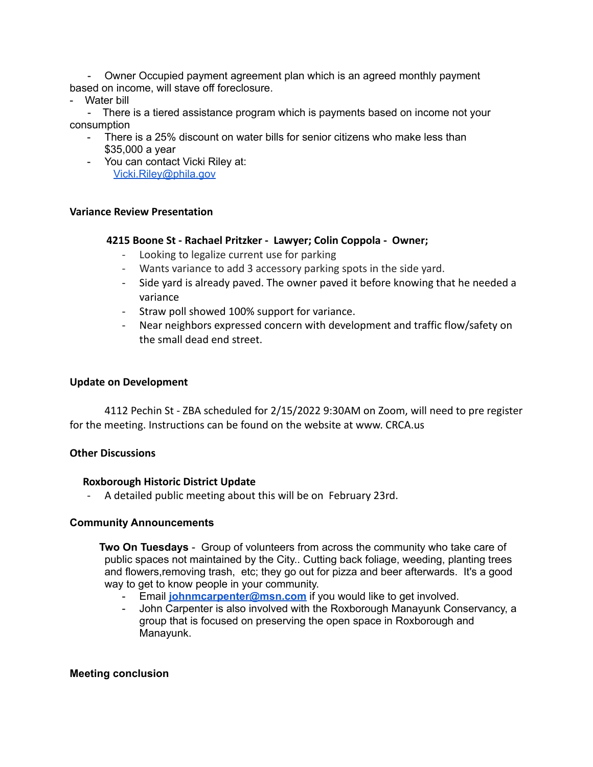- Owner Occupied payment agreement plan which is an agreed monthly payment based on income, will stave off foreclosure.

Water bill

- There is a tiered assistance program which is payments based on income not your consumption

- There is a 25% discount on water bills for senior citizens who make less than \$35,000 a year
- You can contact Vicki Riley at: [Vicki.Riley@phila.gov](mailto:Vicki.Riley@phila.gov)

#### **Variance Review Presentation**

#### **4215 Boone St - Rachael Pritzker - Lawyer; Colin Coppola - Owner;**

- Looking to legalize current use for parking
- Wants variance to add 3 accessory parking spots in the side yard.
- Side yard is already paved. The owner paved it before knowing that he needed a variance
- Straw poll showed 100% support for variance.
- Near neighbors expressed concern with development and traffic flow/safety on the small dead end street.

#### **Update on Development**

4112 Pechin St - ZBA scheduled for 2/15/2022 9:30AM on Zoom, will need to pre register for the meeting. Instructions can be found on the website at www. CRCA.us

#### **Other Discussions**

#### **Roxborough Historic District Update**

- A detailed public meeting about this will be on February 23rd.

#### **Community Announcements**

**Two On Tuesdays** - Group of volunteers from across the community who take care of public spaces not maintained by the City.. Cutting back foliage, weeding, planting trees and flowers,removing trash, etc; they go out for pizza and beer afterwards. It's a good way to get to know people in your community.

- Email **[johnmcarpenter@msn.com](mailto:johnmcarpenter@msn.com)** if you would like to get involved.
- John Carpenter is also involved with the Roxborough Manayunk Conservancy, a group that is focused on preserving the open space in Roxborough and Manayunk.

#### **Meeting conclusion**